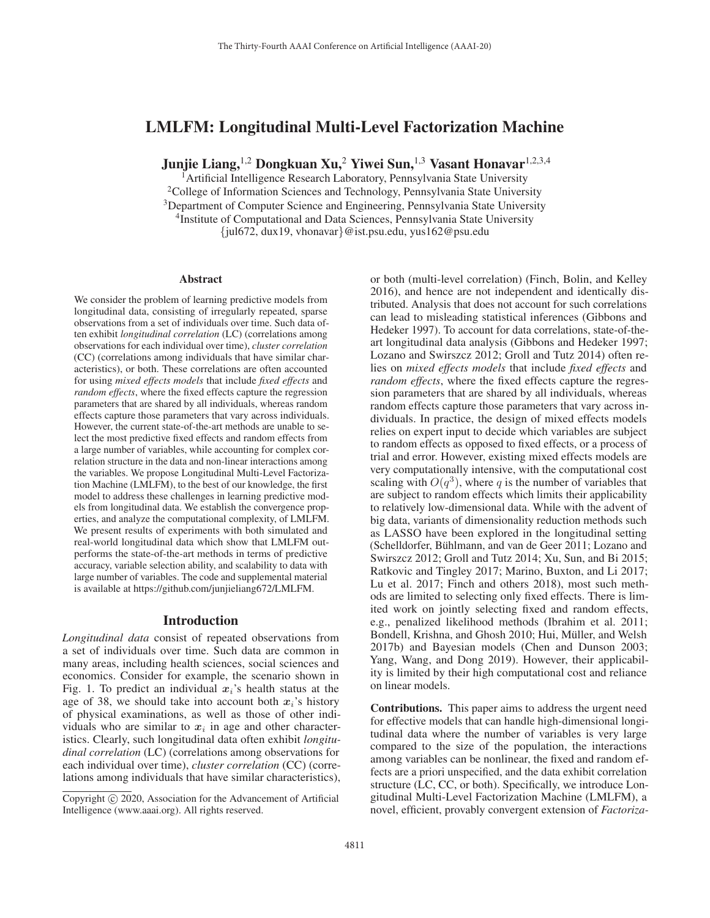# LMLFM: Longitudinal Multi-Level Factorization Machine

Junjie Liang,<sup>1,2</sup> Dongkuan Xu,<sup>2</sup> Yiwei Sun,<sup>1,3</sup> Vasant Honavar<sup>1,2,3,4</sup>

<sup>1</sup> Artificial Intelligence Research Laboratory, Pennsylvania State University <sup>2</sup>College of Information Sciences and Technology, Pennsylvania State University <sup>3</sup>Department of Computer Science and Engineering, Pennsylvania State University <sup>4</sup>Institute of Computational and Data Sciences, Pennsylvania State University {jul672, dux19, vhonavar}@ist.psu.edu, yus162@psu.edu

#### Abstract

We consider the problem of learning predictive models from longitudinal data, consisting of irregularly repeated, sparse observations from a set of individuals over time. Such data often exhibit *longitudinal correlation* (LC) (correlations among observations for each individual over time), *cluster correlation* (CC) (correlations among individuals that have similar characteristics), or both. These correlations are often accounted for using *mixed effects models* that include *fixed effects* and *random effects*, where the fixed effects capture the regression parameters that are shared by all individuals, whereas random effects capture those parameters that vary across individuals. However, the current state-of-the-art methods are unable to select the most predictive fixed effects and random effects from a large number of variables, while accounting for complex correlation structure in the data and non-linear interactions among the variables. We propose Longitudinal Multi-Level Factorization Machine (LMLFM), to the best of our knowledge, the first model to address these challenges in learning predictive models from longitudinal data. We establish the convergence properties, and analyze the computational complexity, of LMLFM. We present results of experiments with both simulated and real-world longitudinal data which show that LMLFM outperforms the state-of-the-art methods in terms of predictive accuracy, variable selection ability, and scalability to data with large number of variables. The code and supplemental material is available at https://github.com/junjieliang672/LMLFM.

### Introduction

*Longitudinal data* consist of repeated observations from a set of individuals over time. Such data are common in many areas, including health sciences, social sciences and economics. Consider for example, the scenario shown in Fig. 1. To predict an individual  $x_i$ 's health status at the age of 38, we should take into account both  $x_i$ 's history of physical examinations, as well as those of other individuals who are similar to  $x_i$  in age and other characteristics. Clearly, such longitudinal data often exhibit *longitudinal correlation* (LC) (correlations among observations for each individual over time), *cluster correlation* (CC) (correlations among individuals that have similar characteristics),

or both (multi-level correlation) (Finch, Bolin, and Kelley 2016), and hence are not independent and identically distributed. Analysis that does not account for such correlations can lead to misleading statistical inferences (Gibbons and Hedeker 1997). To account for data correlations, state-of-theart longitudinal data analysis (Gibbons and Hedeker 1997; Lozano and Swirszcz 2012; Groll and Tutz 2014) often relies on *mixed effects models* that include *fixed effects* and *random effects*, where the fixed effects capture the regression parameters that are shared by all individuals, whereas random effects capture those parameters that vary across individuals. In practice, the design of mixed effects models relies on expert input to decide which variables are subject to random effects as opposed to fixed effects, or a process of trial and error. However, existing mixed effects models are very computationally intensive, with the computational cost scaling with  $O(q^3)$ , where q is the number of variables that are subject to random effects which limits their applicability to relatively low-dimensional data. While with the advent of big data, variants of dimensionality reduction methods such as LASSO have been explored in the longitudinal setting (Schelldorfer, Bühlmann, and van de Geer 2011; Lozano and Swirszcz 2012; Groll and Tutz 2014; Xu, Sun, and Bi 2015; Ratkovic and Tingley 2017; Marino, Buxton, and Li 2017; Lu et al. 2017; Finch and others 2018), most such methods are limited to selecting only fixed effects. There is limited work on jointly selecting fixed and random effects, e.g., penalized likelihood methods (Ibrahim et al. 2011; Bondell, Krishna, and Ghosh 2010; Hui, Müller, and Welsh 2017b) and Bayesian models (Chen and Dunson 2003; Yang, Wang, and Dong 2019). However, their applicability is limited by their high computational cost and reliance on linear models.

Contributions. This paper aims to address the urgent need for effective models that can handle high-dimensional longitudinal data where the number of variables is very large compared to the size of the population, the interactions among variables can be nonlinear, the fixed and random effects are a priori unspecified, and the data exhibit correlation structure (LC, CC, or both). Specifically, we introduce Longitudinal Multi-Level Factorization Machine (LMLFM), a novel, efficient, provably convergent extension of *Factoriza-*

Copyright  $\odot$  2020, Association for the Advancement of Artificial Intelligence (www.aaai.org). All rights reserved.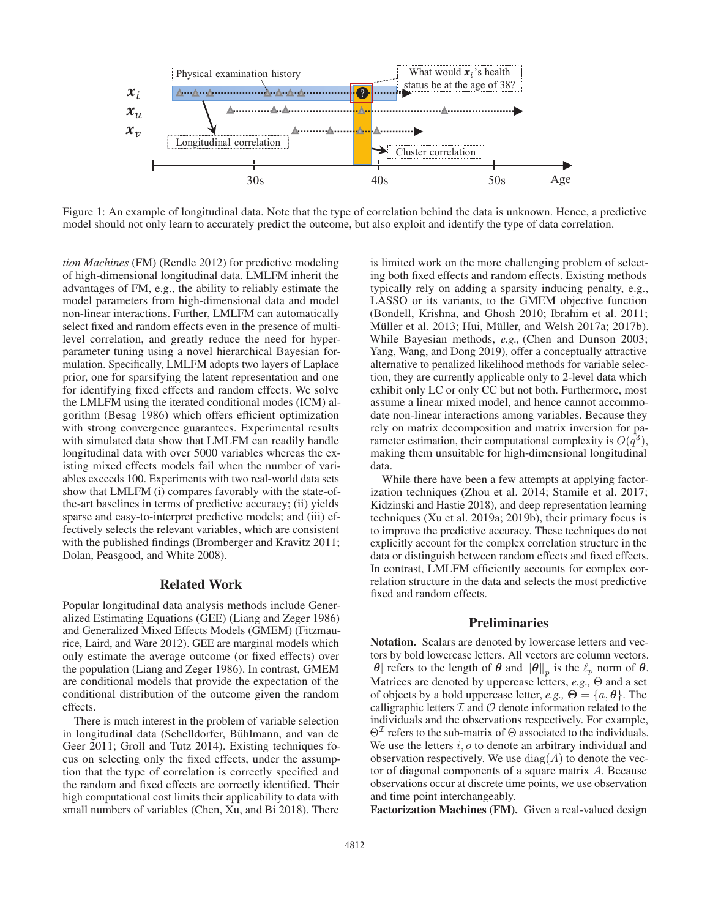

Figure 1: An example of longitudinal data. Note that the type of correlation behind the data is unknown. Hence, a predictive model should not only learn to accurately predict the outcome, but also exploit and identify the type of data correlation.

*tion Machines* (FM) (Rendle 2012) for predictive modeling of high-dimensional longitudinal data. LMLFM inherit the advantages of FM, e.g., the ability to reliably estimate the model parameters from high-dimensional data and model non-linear interactions. Further, LMLFM can automatically select fixed and random effects even in the presence of multilevel correlation, and greatly reduce the need for hyperparameter tuning using a novel hierarchical Bayesian formulation. Specifically, LMLFM adopts two layers of Laplace prior, one for sparsifying the latent representation and one for identifying fixed effects and random effects. We solve the LMLFM using the iterated conditional modes (ICM) algorithm (Besag 1986) which offers efficient optimization with strong convergence guarantees. Experimental results with simulated data show that LMLFM can readily handle longitudinal data with over 5000 variables whereas the existing mixed effects models fail when the number of variables exceeds 100. Experiments with two real-world data sets show that LMLFM (i) compares favorably with the state-ofthe-art baselines in terms of predictive accuracy; (ii) yields sparse and easy-to-interpret predictive models; and (iii) effectively selects the relevant variables, which are consistent with the published findings (Bromberger and Kravitz 2011; Dolan, Peasgood, and White 2008).

### Related Work

Popular longitudinal data analysis methods include Generalized Estimating Equations (GEE) (Liang and Zeger 1986) and Generalized Mixed Effects Models (GMEM) (Fitzmaurice, Laird, and Ware 2012). GEE are marginal models which only estimate the average outcome (or fixed effects) over the population (Liang and Zeger 1986). In contrast, GMEM are conditional models that provide the expectation of the conditional distribution of the outcome given the random effects.

There is much interest in the problem of variable selection in longitudinal data (Schelldorfer, Bühlmann, and van de Geer 2011; Groll and Tutz 2014). Existing techniques focus on selecting only the fixed effects, under the assumption that the type of correlation is correctly specified and the random and fixed effects are correctly identified. Their high computational cost limits their applicability to data with small numbers of variables (Chen, Xu, and Bi 2018). There

is limited work on the more challenging problem of selecting both fixed effects and random effects. Existing methods typically rely on adding a sparsity inducing penalty, e.g., LASSO or its variants, to the GMEM objective function (Bondell, Krishna, and Ghosh 2010; Ibrahim et al. 2011; Müller et al. 2013; Hui, Müller, and Welsh 2017a; 2017b). While Bayesian methods, *e.g.,* (Chen and Dunson 2003; Yang, Wang, and Dong 2019), offer a conceptually attractive alternative to penalized likelihood methods for variable selection, they are currently applicable only to 2-level data which exhibit only LC or only CC but not both. Furthermore, most assume a linear mixed model, and hence cannot accommodate non-linear interactions among variables. Because they rely on matrix decomposition and matrix inversion for parameter estimation, their computational complexity is  $O(q^3)$ , making them unsuitable for high-dimensional longitudinal data.

While there have been a few attempts at applying factorization techniques (Zhou et al. 2014; Stamile et al. 2017; Kidzinski and Hastie 2018), and deep representation learning techniques (Xu et al. 2019a; 2019b), their primary focus is to improve the predictive accuracy. These techniques do not explicitly account for the complex correlation structure in the data or distinguish between random effects and fixed effects. In contrast, LMLFM efficiently accounts for complex correlation structure in the data and selects the most predictive fixed and random effects.

# **Preliminaries**

Notation. Scalars are denoted by lowercase letters and vectors by bold lowercase letters. All vectors are column vectors.  $|\theta|$  refers to the length of  $\theta$  and  $||\theta||_p$  is the  $\ell_p$  norm of  $\theta$ . Matrices are denoted by uppercase letters, *e.g.,* Θ and a set of objects by a bold uppercase letter, *e.g.*,  $\Theta = \{a, \theta\}$ . The calligraphic letters  $\mathcal I$  and  $\mathcal O$  denote information related to the individuals and the observations respectively. For example,  $\Theta^{\mathcal{I}}$  refers to the sub-matrix of  $\Theta$  associated to the individuals. We use the letters  $i, o$  to denote an arbitrary individual and observation respectively. We use  $\text{diag}(A)$  to denote the vector of diagonal components of a square matrix A. Because observations occur at discrete time points, we use observation and time point interchangeably.

Factorization Machines (FM). Given a real-valued design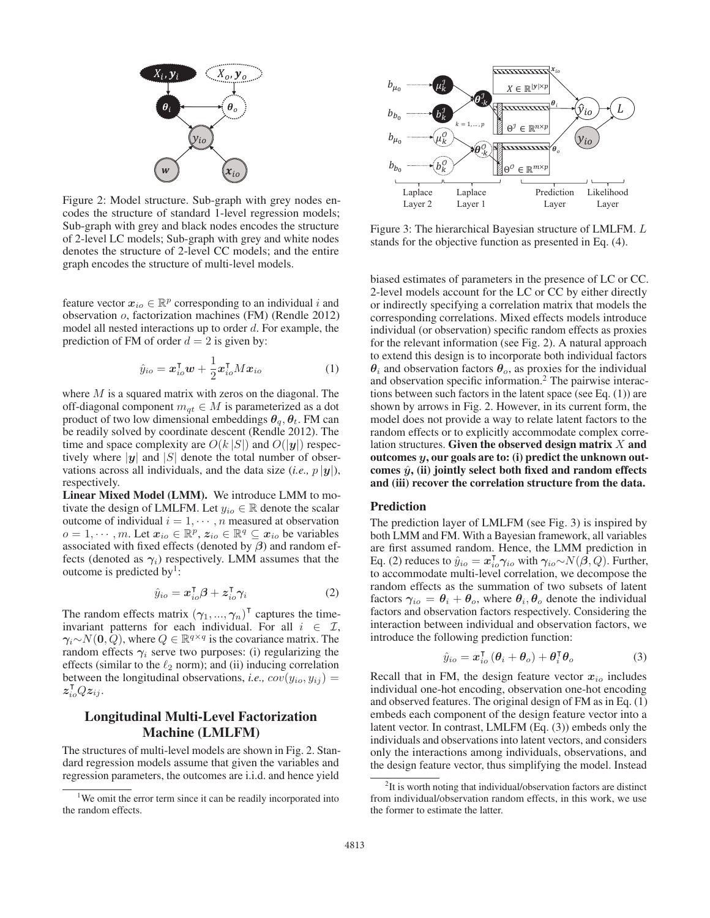

Figure 2: Model structure. Sub-graph with grey nodes encodes the structure of standard 1-level regression models; Sub-graph with grey and black nodes encodes the structure of 2-level LC models; Sub-graph with grey and white nodes denotes the structure of 2-level CC models; and the entire graph encodes the structure of multi-level models.

feature vector  $x_{io} \in \mathbb{R}^p$  corresponding to an individual i and observation o, factorization machines (FM) (Rendle 2012) model all nested interactions up to order  $d$ . For example, the prediction of FM of order  $d = 2$  is given by:

$$
\hat{y}_{io} = \boldsymbol{x}_{io}^{\mathsf{T}} \boldsymbol{w} + \frac{1}{2} \boldsymbol{x}_{io}^{\mathsf{T}} M \boldsymbol{x}_{io}
$$
 (1)

where  $M$  is a squared matrix with zeros on the diagonal. The off-diagonal component  $m_{qt} \in M$  is parameterized as a dot product of two low dimensional embeddings  $\theta_q$ ,  $\theta_t$ . FM can be readily solved by coordinate descent (Rendle 2012). The time and space complexity are  $O(k |S|)$  and  $O(|y|)$  respectively where  $|y|$  and  $|S|$  denote the total number of observations across all individuals, and the data size (*i.e.*,  $p |y|$ ), respectively.

Linear Mixed Model (LMM). We introduce LMM to motivate the design of LMLFM. Let  $y_{io} \in \mathbb{R}$  denote the scalar outcome of individual  $i = 1, \dots, n$  measured at observation  $o = 1, \dots, m$ . Let  $x_{io} \in \mathbb{R}^p$ ,  $z_{io} \in \mathbb{R}^q \subseteq x_{io}$  be variables associated with fixed effects (denoted by *β*) and random effects (denoted as  $\gamma_i$ ) respectively. LMM assumes that the outcome is predicted by $\frac{1}{2}$ :

$$
\hat{y}_{io} = \boldsymbol{x}_{io}^{\mathsf{T}} \boldsymbol{\beta} + \boldsymbol{z}_{io}^{\mathsf{T}} \boldsymbol{\gamma}_{i} \tag{2}
$$

The random effects matrix  $(\gamma_1, ..., \gamma_n)^\mathsf{T}$  captures the timeinvariant patterns for each individual. For all  $i \in \mathcal{I}$ ,  $\gamma_i \sim N(0, Q)$ , where  $Q \in \mathbb{R}^{q \times q}$  is the covariance matrix. The random effects  $\gamma_i$  serve two purposes: (i) regularizing the effects (similar to the  $\ell_2$  norm); and (ii) inducing correlation between the longitudinal observations, *i.e.*,  $cov(y_{io}, y_{ij}) =$  $z_{io}^{\intercal}Qz_{ij}.$ 

# Longitudinal Multi-Level Factorization Machine (LMLFM)

The structures of multi-level models are shown in Fig. 2. Standard regression models assume that given the variables and regression parameters, the outcomes are i.i.d. and hence yield



Figure 3: The hierarchical Bayesian structure of LMLFM. L stands for the objective function as presented in Eq. (4).

biased estimates of parameters in the presence of LC or CC. 2-level models account for the LC or CC by either directly or indirectly specifying a correlation matrix that models the corresponding correlations. Mixed effects models introduce individual (or observation) specific random effects as proxies for the relevant information (see Fig. 2). A natural approach to extend this design is to incorporate both individual factors  $\theta_i$  and observation factors  $\theta_o$ , as proxies for the individual and observation specific information.<sup>2</sup> The pairwise interactions between such factors in the latent space (see Eq. (1)) are shown by arrows in Fig. 2. However, in its current form, the model does not provide a way to relate latent factors to the random effects or to explicitly accommodate complex correlation structures. Given the observed design matrix  $X$  and outcomes *y*, our goals are to: (i) predict the unknown outcomes  $\hat{y}$ , (ii) jointly select both fixed and random effects and (iii) recover the correlation structure from the data.

#### Prediction

The prediction layer of LMLFM (see Fig. 3) is inspired by both LMM and FM. With a Bayesian framework, all variables are first assumed random. Hence, the LMM prediction in Eq. (2) reduces to  $\hat{y}_{io} = x_{io}^{\mathsf{T}} \gamma_{io}$  with  $\gamma_{io} \sim N(\hat{\beta}, Q)$ . Further, to accommodate multi-level correlation, we decompose the random effects as the summation of two subsets of latent factors  $\gamma_{io} = \theta_i + \theta_o$ , where  $\theta_i, \theta_o$  denote the individual factors and observation factors respectively. Considering the interaction between individual and observation factors, we introduce the following prediction function:

$$
\hat{y}_{io} = \boldsymbol{x}_{io}^{\mathsf{T}} \left( \boldsymbol{\theta}_{i} + \boldsymbol{\theta}_{o} \right) + \boldsymbol{\theta}_{i}^{\mathsf{T}} \boldsymbol{\theta}_{o}
$$
 (3)

Recall that in FM, the design feature vector  $x_{i0}$  includes individual one-hot encoding, observation one-hot encoding and observed features. The original design of FM as in Eq. (1) embeds each component of the design feature vector into a latent vector. In contrast, LMLFM (Eq. (3)) embeds only the individuals and observations into latent vectors, and considers only the interactions among individuals, observations, and the design feature vector, thus simplifying the model. Instead

<sup>&</sup>lt;sup>1</sup>We omit the error term since it can be readily incorporated into the random effects.

<sup>&</sup>lt;sup>2</sup>It is worth noting that individual/observation factors are distinct from individual/observation random effects, in this work, we use the former to estimate the latter.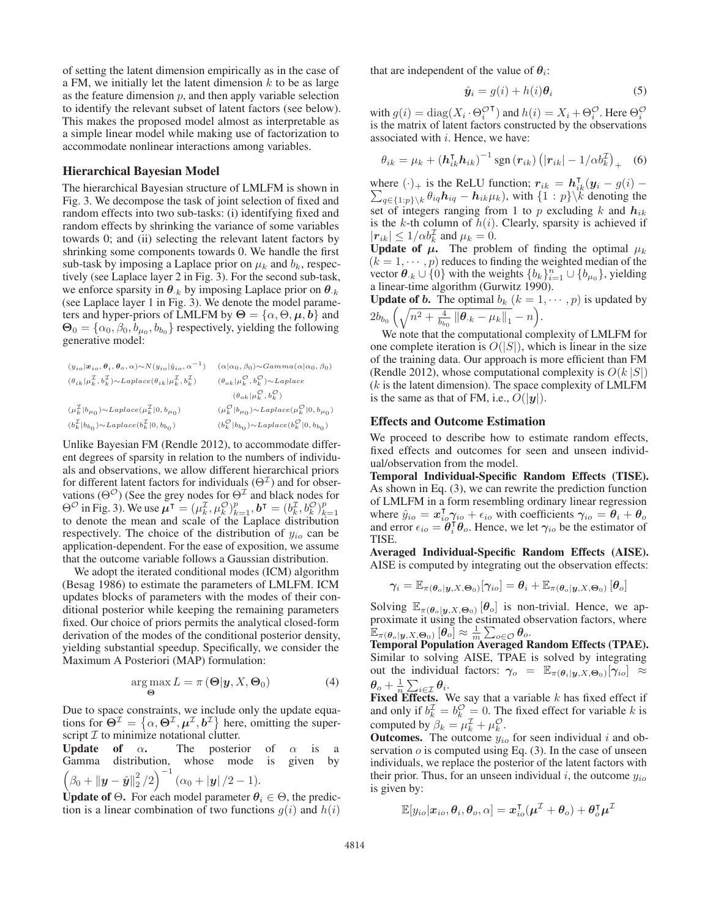of setting the latent dimension empirically as in the case of a FM, we initially let the latent dimension  $k$  to be as large as the feature dimension  $p$ , and then apply variable selection to identify the relevant subset of latent factors (see below). This makes the proposed model almost as interpretable as a simple linear model while making use of factorization to accommodate nonlinear interactions among variables.

#### Hierarchical Bayesian Model

The hierarchical Bayesian structure of LMLFM is shown in Fig. 3. We decompose the task of joint selection of fixed and random effects into two sub-tasks: (i) identifying fixed and random effects by shrinking the variance of some variables towards 0; and (ii) selecting the relevant latent factors by shrinking some components towards 0. We handle the first sub-task by imposing a Laplace prior on  $\mu_k$  and  $b_k$ , respectively (see Laplace layer 2 in Fig. 3). For the second sub-task, we enforce sparsity in  $\theta_{k}$  by imposing Laplace prior on  $\theta_{k}$ (see Laplace layer 1 in Fig. 3). We denote the model parameters and hyper-priors of LMLFM by  $\Theta = {\alpha, \Theta, \mu, b}$  and  $\Theta_0 = {\alpha_0, \beta_0, b_{\mu_0}, b_{b_0}}$  respectively, yielding the following generative model:

$$
\begin{array}{llll} (y_{io}|\mathbf{\alpha}_{io},\pmb{\theta}_{i},\pmb{\theta}_{o},\alpha){\sim}N(y_{io}|\hat{y}_{io},\alpha^{-1}) & (\alpha|\alpha_{0},\beta_{0}){\sim}Gamma(\alpha|\alpha_{0},\beta_{0})\\ & & \\ (\theta_{ik}|\mu_{k}^{\mathcal{I}},b_{k}^{\mathcal{I}}){\sim}Laplace(\theta_{ik}|\mu_{k}^{\mathcal{I}},b_{k}^{\mathcal{I}}) & & (\theta_{ok}|\mu_{k}^{\mathcal{O}},b_{k}^{\mathcal{O}}){\sim}Laplace\\ & & & \\ (y_{ok}|\mu_{k}^{\mathcal{O}},b_{k}^{\mathcal{O}}) & & \\ (\mu_{k}^{\mathcal{I}}|b_{\mu_{0}}){\sim}Laplace(\mu_{k}^{\mathcal{I}}|0,b_{\mu_{0}}) & & \\ (b_{k}^{\mathcal{I}}|b_{\mu_{0}}){\sim}Laplace(\mu_{k}^{\mathcal{O}}|0,b_{\mu_{0}}) & & \\ (b_{k}^{\mathcal{I}}|b_{b_{0}}){\sim}Laplace(b_{k}^{\mathcal{I}}|0,b_{b_{0}}) & & \\ (b_{k}^{\mathcal{O}}|b_{b_{0}}){\sim}Laplace(b_{k}^{\mathcal{O}}|0,b_{b_{0}}) \end{array}
$$

Unlike Bayesian FM (Rendle 2012), to accommodate different degrees of sparsity in relation to the numbers of individuals and observations, we allow different hierarchical priors for different latent factors for individuals  $(\Theta^{\mathcal{I}})$  and for observations ( $\Theta^{\mathcal{O}}$ ) (See the grey nodes for  $\Theta^{\mathcal{I}}$  and black nodes for  $\Theta^{\mathcal{O}}$  in Fig. 3). We use  $\mu^{\mathsf{T}} = (\mu_k^{\mathcal{I}}, \mu_k^{\mathcal{O}})_{k=1}^p$ ,  $b^{\mathsf{T}} = (b_k^{\mathcal{I}}, b_k^{\mathcal{O}})_{k=1}^p$  to denote the mean and scale of the Laplace distribution respectively. The choice of the distribution of  $y_{io}$  can be application-dependent. For the ease of exposition, we assume that the outcome variable follows a Gaussian distribution.

We adopt the iterated conditional modes (ICM) algorithm (Besag 1986) to estimate the parameters of LMLFM. ICM updates blocks of parameters with the modes of their conditional posterior while keeping the remaining parameters fixed. Our choice of priors permits the analytical closed-form derivation of the modes of the conditional posterior density, yielding substantial speedup. Specifically, we consider the Maximum A Posteriori (MAP) formulation:

$$
\arg \max_{\Theta} L = \pi (\Theta | \mathbf{y}, X, \Theta_0)
$$
 (4)

Due to space constraints, we include only the update equations for  $\Theta^{\mathcal{I}} = \{ \alpha, \Theta^{\mathcal{I}}, \mu^{\mathcal{I}}, b^{\mathcal{I}} \}$  here, omitting the superscript  $\mathcal I$  to minimize notational clutter.

Update of  $\alpha$ . The posterior of  $\alpha$  is a Gamma distribution, whose mode is given by Gamma distribution, whose mode is given by  $\left(\beta_0 + \|\boldsymbol{y} - \hat{\boldsymbol{y}}\|_2^2/2\right)^{-1} (\alpha_0 + |\boldsymbol{y}|/2 - 1).$ 

Update of  $\Theta$ . For each model parameter  $\theta_i \in \Theta$ , the prediction is a linear combination of two functions  $g(i)$  and  $h(i)$  that are independent of the value of  $\theta_i$ :

$$
\hat{\mathbf{y}}_i = g(i) + h(i)\boldsymbol{\theta}_i \tag{5}
$$

with  $g(i) = diag(X_i \cdot \Theta_i^{\mathcal{O}^\mathsf{T}})$  and  $h(i) = X_i + \Theta_i^{\mathcal{O}}$ . Here  $\Theta_i^{\mathcal{O}}$ is the matrix of latent factors constructed by the observations associated with  $i$ . Hence, we have:

$$
\theta_{ik} = \mu_k + \left(\mathbf{h}_{ik}^\mathsf{T} \mathbf{h}_{ik}\right)^{-1} \text{sgn}\left(\mathbf{r}_{ik}\right) \left(|\mathbf{r}_{ik}| - 1/\alpha b_k^{\mathcal{I}}\right)_+\tag{6}
$$

where  $(\cdot)_+$  is the ReLU function;  $r_{ik} = h_{ik}^T(y_i - g(i)) \sum_{q\in\{1:p\}\setminus k} \theta_{iq} h_{iq} - h_{ik}\mu_k$ , with  $\{1:p\}\setminus k$  denoting the set of integers ranging from 1 to p excluding k and  $h_{ik}$ is the k-th column of  $h(i)$ . Clearly, sparsity is achieved if  $|\mathbf{r}_{ik}| \leq 1/\alpha b_k^{\mathcal{I}}$  and  $\mu_k = 0$ .

Update of  $\mu$ . The problem of finding the optimal  $\mu_k$  $(k = 1, \dots, p)$  reduces to finding the weighted median of the vector  $\theta_{k} \cup \{0\}$  with the weights  $\{b_k\}_{k=1}^n \cup \{b_{\mu_0}\}\)$ , yielding a linear-time algorithm (Gurwitz 1990).

**Update of** *b***.** The optimal  $b_k$   $(k = 1, \dots, p)$  is updated by  $2b_{b_0}\left(\sqrt{n^2+\tfrac{4}{b_{b_0}}\left\|\boldsymbol{\theta}_{\cdot k}-\mu_k\right\|_1}-n\right)$ .

We note that the computational complexity of LMLFM for one complete iteration is  $O(|S|)$ , which is linear in the size of the training data. Our approach is more efficient than FM (Rendle 2012), whose computational complexity is  $O(k |S|)$  $(k$  is the latent dimension). The space complexity of LMLFM is the same as that of FM, i.e.,  $O(|y|)$ .

### Effects and Outcome Estimation

We proceed to describe how to estimate random effects, fixed effects and outcomes for seen and unseen individual/observation from the model.

Temporal Individual-Specific Random Effects (TISE). As shown in Eq. (3), we can rewrite the prediction function of LMLFM in a form resembling ordinary linear regression where  $\hat{y}_{io} = x_{io}^{\dagger} \hat{\gamma}_{io} + \epsilon_{io}$  with coefficients  $\gamma_{io} = \hat{\theta}_i + \theta_o$ and error  $\epsilon_{io} = \theta_i^{\dagger} \theta_o$ . Hence, we let  $\gamma_{io}$  be the estimator of TISE.

Averaged Individual-Specific Random Effects (AISE). AISE is computed by integrating out the observation effects:

$$
\gamma_i = \mathbb{E}_{\pi(\boldsymbol{\theta}_o|\boldsymbol{y}, X, \boldsymbol{\Theta}_0)}[\gamma_{io}] = \boldsymbol{\theta}_i + \mathbb{E}_{\pi(\boldsymbol{\theta}_o|\boldsymbol{y}, X, \boldsymbol{\Theta}_0)}\left[\boldsymbol{\theta}_o\right]
$$

Solving  $\mathbb{E}_{\pi(\theta_o|\mathbf{y},X,\Theta_0)}[\theta_o]$  is non-trivial. Hence, we approximate it using the estimated observation factors, where  $\mathbb{E}_{\pi(\bm{\theta}_o|\bm{y},X,\bm{\Theta}_0)}\left[\bm{\theta}_o\right]\approx\frac{1}{m}\sum_{o\in\mathcal{O}}\bm{\theta}_o.$ 

Temporal Population Averaged Random Effects (TPAE). Similar to solving AISE, TPAE is solved by integrating out the individual factors:  $\gamma_o = \mathbb{E}_{\pi(\theta_i|\mathbf{y},X,\Theta_0)}[\gamma_{io}] \approx$  $\theta_o + \frac{1}{n} \sum_{i \in \mathcal{I}} \theta_i$ .

Fixed Effects. We say that a variable  $k$  has fixed effect if and only if  $b_k^{\mathcal{I}} = b_k^{\mathcal{O}} = 0$ . The fixed effect for variable k is computed by  $\beta_k = \mu_k^{\mathcal{I}} + \mu_k^{\mathcal{O}}$ .

**Outcomes.** The outcome  $y_{io}$  for seen individual i and observation  $o$  is computed using Eq. (3). In the case of unseen individuals, we replace the posterior of the latent factors with their prior. Thus, for an unseen individual i, the outcome  $y_{io}$ is given by:

$$
\mathbb{E}[y_{io}|\pmb{x}_{io},\pmb{\theta}_i,\pmb{\theta}_o,\alpha] = \pmb{x}_{io}^\intercal(\pmb{\mu}^\mathcal{I}+\pmb{\theta}_o)+\pmb{\theta}_o^\intercal\pmb{\mu}^\mathcal{I}
$$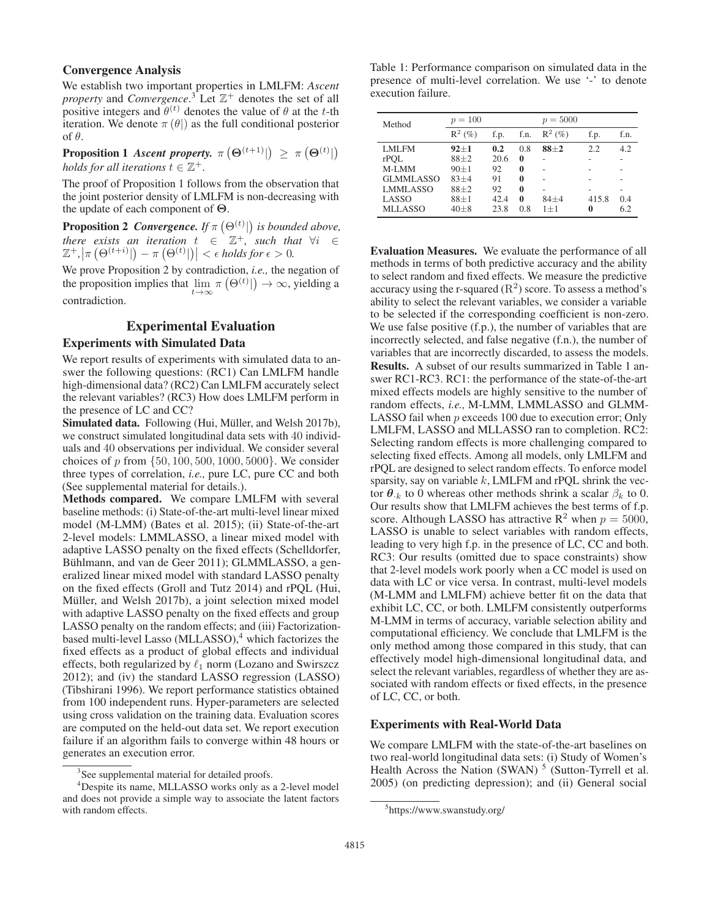# Convergence Analysis

We establish two important properties in LMLFM: *Ascent property* and *Convergence*. <sup>3</sup> Let Z<sup>+</sup> denotes the set of all positive integers and  $\hat{\theta}^{(t)}$  denotes the value of  $\theta$  at the t-th iteration. We denote  $\pi(\theta)$  as the full conditional posterior of θ.

## **Proposition 1** *Ascent property.*  $\pi (\Theta^{(t+1)} |) \geq \pi (\Theta^{(t)} |)$ *holds for all iterations*  $t \in \mathbb{Z}^+$ .

The proof of Proposition 1 follows from the observation that the joint posterior density of LMLFM is non-decreasing with the update of each component of **Θ**.

**Proposition 2** *Convergence.* If  $\pi(\Theta^{(t)})$  is bounded above,<br>there exists an iteration  $t \in \mathbb{Z}^+$  such that  $\forall i \in \mathbb{Z}$ *there exists an iteration*  $t \in \mathbb{Z}^+$ , *such that*  $\forall i \in$  $\mathbb{Z}^+, |\pi(\Theta^{(t+i)}|) - \pi(\Theta^{(t)}|)| < \epsilon$  holds for  $\epsilon > 0$ .

We prove Proposition 2 by contradiction, *i.e.,* the negation of the proposition implies that  $\lim_{t\to\infty} \pi(\Theta^{(t)}|) \to \infty$ , yielding a contradiction.

### Experimental Evaluation

## Experiments with Simulated Data

We report results of experiments with simulated data to answer the following questions: (RC1) Can LMLFM handle high-dimensional data? (RC2) Can LMLFM accurately select the relevant variables? (RC3) How does LMLFM perform in the presence of LC and CC?

Simulated data. Following (Hui, Müller, and Welsh 2017b), we construct simulated longitudinal data sets with 40 individuals and 40 observations per individual. We consider several choices of p from  $\{50, 100, 500, 1000, 5000\}$ . We consider three types of correlation, *i.e.,* pure LC, pure CC and both (See supplemental material for details.).

Methods compared. We compare LMLFM with several baseline methods: (i) State-of-the-art multi-level linear mixed model (M-LMM) (Bates et al. 2015); (ii) State-of-the-art 2-level models: LMMLASSO, a linear mixed model with adaptive LASSO penalty on the fixed effects (Schelldorfer, Bühlmann, and van de Geer 2011); GLMMLASSO, a generalized linear mixed model with standard LASSO penalty on the fixed effects (Groll and Tutz 2014) and rPQL (Hui, Müller, and Welsh 2017b), a joint selection mixed model with adaptive LASSO penalty on the fixed effects and group LASSO penalty on the random effects; and (iii) Factorizationbased multi-level Lasso  $(MLLASSO)$ ,<sup>4</sup> which factorizes the fixed effects as a product of global effects and individual effects, both regularized by  $\ell_1$  norm (Lozano and Swirszcz 2012); and (iv) the standard LASSO regression (LASSO) (Tibshirani 1996). We report performance statistics obtained from 100 independent runs. Hyper-parameters are selected using cross validation on the training data. Evaluation scores are computed on the held-out data set. We report execution failure if an algorithm fails to converge within 48 hours or generates an execution error.

Table 1: Performance comparison on simulated data in the presence of multi-level correlation. We use '-' to denote execution failure.

| Method           | $p = 100$ |      |      | $p = 5000$ |       |      |  |
|------------------|-----------|------|------|------------|-------|------|--|
|                  | $R^2$ (%) | f.p. | f.n. | $R^2$ (%)  | f.p.  | f.n. |  |
| LMLFM            | $92 + 1$  | 0.2  | 0.8  | $88 + 2$   | 2.2   | 42   |  |
| rPOL             | $88 + 2$  | 20.6 | 0    |            |       |      |  |
| M-LMM            | $90 + 1$  | 92   | 0    |            |       |      |  |
| <b>GLMMLASSO</b> | $83 + 4$  | 91   | 0    |            |       |      |  |
| <b>LMMLASSO</b>  | $88 + 2$  | 92   | 0    |            |       |      |  |
| LASSO            | $88 + 1$  | 42.4 | 0    | $84 + 4$   | 415.8 | 0.4  |  |
| <b>MLLASSO</b>   | $40 + 8$  | 23.8 | 0.8  | $1+1$      |       | 6.2  |  |

Evaluation Measures. We evaluate the performance of all methods in terms of both predictive accuracy and the ability to select random and fixed effects. We measure the predictive accuracy using the r-squared  $(R<sup>2</sup>)$  score. To assess a method's ability to select the relevant variables, we consider a variable to be selected if the corresponding coefficient is non-zero. We use false positive (f.p.), the number of variables that are incorrectly selected, and false negative (f.n.), the number of variables that are incorrectly discarded, to assess the models. Results. A subset of our results summarized in Table 1 answer RC1-RC3. RC1: the performance of the state-of-the-art mixed effects models are highly sensitive to the number of random effects, *i.e.,* M-LMM, LMMLASSO and GLMM-LASSO fail when p exceeds 100 due to execution error; Only LMLFM, LASSO and MLLASSO ran to completion. RC2: Selecting random effects is more challenging compared to selecting fixed effects. Among all models, only LMLFM and rPQL are designed to select random effects. To enforce model sparsity, say on variable  $k$ , LMLFM and rPQL shrink the vector  $\theta_{k}$  to 0 whereas other methods shrink a scalar  $\beta_{k}$  to 0. Our results show that LMLFM achieves the best terms of f.p. score. Although LASSO has attractive  $R^2$  when  $p = 5000$ , LASSO is unable to select variables with random effects, leading to very high f.p. in the presence of LC, CC and both. RC3: Our results (omitted due to space constraints) show that 2-level models work poorly when a CC model is used on data with LC or vice versa. In contrast, multi-level models (M-LMM and LMLFM) achieve better fit on the data that exhibit LC, CC, or both. LMLFM consistently outperforms M-LMM in terms of accuracy, variable selection ability and computational efficiency. We conclude that LMLFM is the only method among those compared in this study, that can effectively model high-dimensional longitudinal data, and select the relevant variables, regardless of whether they are associated with random effects or fixed effects, in the presence of LC, CC, or both.

### Experiments with Real-World Data

We compare LMLFM with the state-of-the-art baselines on two real-world longitudinal data sets: (i) Study of Women's Health Across the Nation (SWAN)  $<sup>5</sup>$  (Sutton-Tyrrell et al.</sup> 2005) (on predicting depression); and (ii) General social

<sup>&</sup>lt;sup>3</sup>See supplemental material for detailed proofs.

<sup>4</sup> Despite its name, MLLASSO works only as a 2-level model and does not provide a simple way to associate the latent factors with random effects.

<sup>5</sup> https://www.swanstudy.org/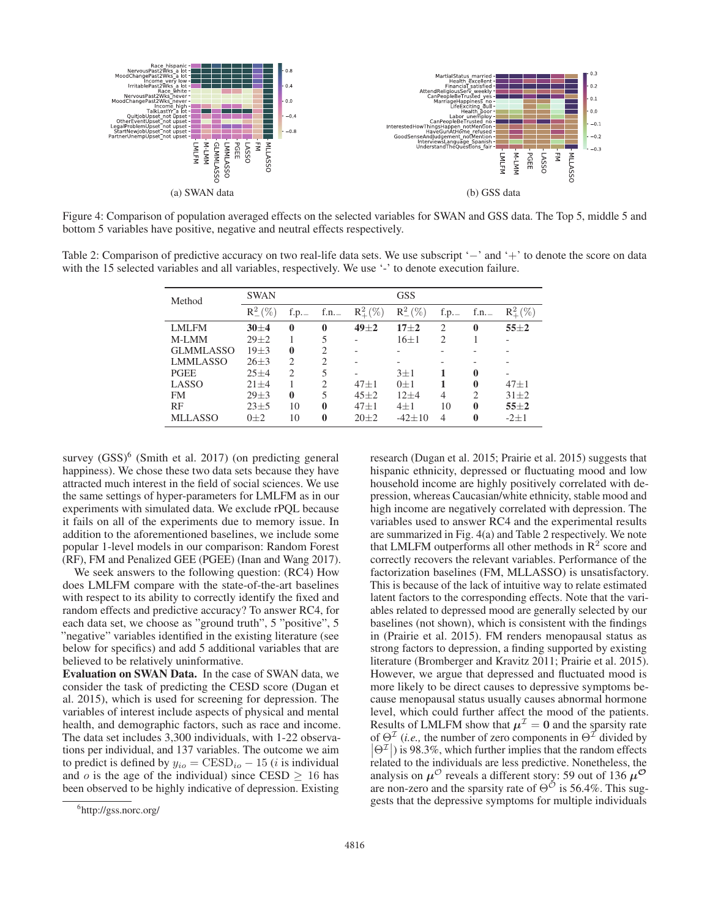

Figure 4: Comparison of population averaged effects on the selected variables for SWAN and GSS data. The Top 5, middle 5 and bottom 5 variables have positive, negative and neutral effects respectively.

Table 2: Comparison of predictive accuracy on two real-life data sets. We use subscript '−' and '+' to denote the score on data with the 15 selected variables and all variables, respectively. We use '-' to denote execution failure.

| Method           | <b>SWAN</b>     |                               |                |                 | <b>GSS</b>      |      |                |                 |
|------------------|-----------------|-------------------------------|----------------|-----------------|-----------------|------|----------------|-----------------|
|                  | $R_{-}^{2}(\%)$ | f.p.                          | f.n. $-$       | $R_{+}^{2}(\%)$ | $R_{-}^{2}(\%)$ | f.p. | f.n.           | $R_{+}^{2}(\%)$ |
| LMLFM            | $30 + 4$        | 0                             | 0              | $49\pm2$        | $17 + 2$        | 2    | $\bf{0}$       | $55 + 2$        |
| M-LMM            | $29 + 2$        |                               | 5              |                 | $16\pm1$        | 2    |                |                 |
| <b>GLMMLASSO</b> | $19\pm3$        | 0                             | 2              |                 |                 |      |                |                 |
| LMMLASSO         | $26 \pm 3$      | $\mathfrak{D}_{\mathfrak{p}}$ | $\mathfrak{D}$ |                 |                 |      |                |                 |
| <b>PGEE</b>      | $25 + 4$        | $\mathcal{D}_{\mathcal{A}}$   | 5              |                 | $3\pm1$         |      | 0              |                 |
| LASSO            | $21 + 4$        |                               | $\mathfrak{D}$ | $47 + 1$        | $0+1$           |      | 0              | $47 + 1$        |
| <b>FM</b>        | $29 + 3$        | $\mathbf{0}$                  | 5              | $45 + 2$        | $12+4$          | 4    | $\mathfrak{D}$ | $31 + 2$        |
| RF               | $23 + 5$        | 10                            | 0              | $47 + 1$        | $4 + 1$         | 10   | 0              | $55+2$          |
| <b>MLLASSO</b>   | $0\pm 2$        | 10                            | 0              | $20\pm 2$       | $-42+10$        | 4    | 0              | $-2 \pm 1$      |

survey  $(GSS)^6$  (Smith et al. 2017) (on predicting general happiness). We chose these two data sets because they have attracted much interest in the field of social sciences. We use the same settings of hyper-parameters for LMLFM as in our experiments with simulated data. We exclude rPQL because it fails on all of the experiments due to memory issue. In addition to the aforementioned baselines, we include some popular 1-level models in our comparison: Random Forest (RF), FM and Penalized GEE (PGEE) (Inan and Wang 2017).

We seek answers to the following question: (RC4) How does LMLFM compare with the state-of-the-art baselines with respect to its ability to correctly identify the fixed and random effects and predictive accuracy? To answer RC4, for each data set, we choose as "ground truth", 5 "positive", 5 "negative" variables identified in the existing literature (see below for specifics) and add 5 additional variables that are believed to be relatively uninformative.

Evaluation on SWAN Data. In the case of SWAN data, we consider the task of predicting the CESD score (Dugan et al. 2015), which is used for screening for depression. The variables of interest include aspects of physical and mental health, and demographic factors, such as race and income. The data set includes 3,300 individuals, with 1-22 observations per individual, and 137 variables. The outcome we aim to predict is defined by  $y_{io} = \text{CESD}_{io} - 15$  (*i* is individual and o is the age of the individual) since CESD  $\geq$  16 has been observed to be highly indicative of depression. Existing research (Dugan et al. 2015; Prairie et al. 2015) suggests that hispanic ethnicity, depressed or fluctuating mood and low household income are highly positively correlated with depression, whereas Caucasian/white ethnicity, stable mood and high income are negatively correlated with depression. The variables used to answer RC4 and the experimental results are summarized in Fig. 4(a) and Table 2 respectively. We note that LMLFM outperforms all other methods in  $\mathbb{R}^2$  score and correctly recovers the relevant variables. Performance of the factorization baselines (FM, MLLASSO) is unsatisfactory. This is because of the lack of intuitive way to relate estimated latent factors to the corresponding effects. Note that the variables related to depressed mood are generally selected by our baselines (not shown), which is consistent with the findings in (Prairie et al. 2015). FM renders menopausal status as strong factors to depression, a finding supported by existing literature (Bromberger and Kravitz 2011; Prairie et al. 2015). However, we argue that depressed and fluctuated mood is more likely to be direct causes to depressive symptoms because menopausal status usually causes abnormal hormone level, which could further affect the mood of the patients. Results of LMLFM show that  $\mu^{\mathcal{I}} = 0$  and the sparsity rate of  $\Theta^{\mathcal{I}}$  (*i.e.*, the number of zero components in  $\Theta^{\mathcal{I}}$  divided by  $|\Theta^{\mathcal{I}}|$ ) is 98.3%, which further implies that the random effects  $\vert \circ \vert$  is 58.5%, which further implies that the failtent effects related to the individuals are less predictive. Nonetheless, the analysis on  $\mu^{\circ}$  reveals a different story: 59 out of 136  $\mu^{\circ}$ are non-zero and the sparsity rate of  $\Theta^{\tilde{\mathcal{O}}}$  is 56.4%. This suggests that the depressive symptoms for multiple individuals

<sup>6</sup> http://gss.norc.org/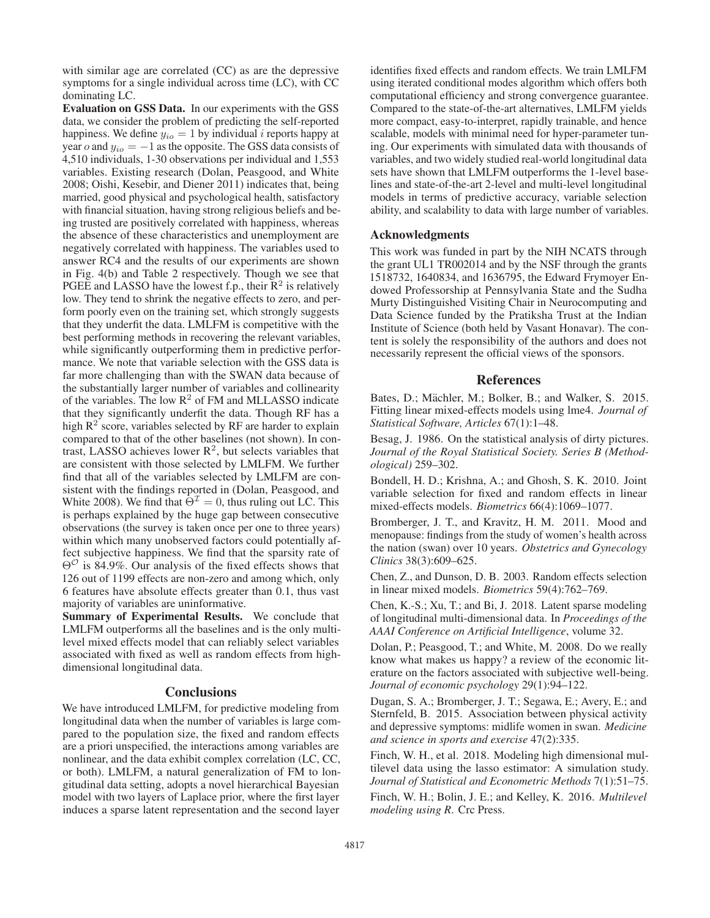with similar age are correlated (CC) as are the depressive symptoms for a single individual across time (LC), with CC dominating LC.

Evaluation on GSS Data. In our experiments with the GSS data, we consider the problem of predicting the self-reported happiness. We define  $y_{io} = 1$  by individual *i* reports happy at year o and  $y_{io} = -1$  as the opposite. The GSS data consists of 4,510 individuals, 1-30 observations per individual and 1,553 variables. Existing research (Dolan, Peasgood, and White 2008; Oishi, Kesebir, and Diener 2011) indicates that, being married, good physical and psychological health, satisfactory with financial situation, having strong religious beliefs and being trusted are positively correlated with happiness, whereas the absence of these characteristics and unemployment are negatively correlated with happiness. The variables used to answer RC4 and the results of our experiments are shown in Fig. 4(b) and Table 2 respectively. Though we see that PGEE and LASSO have the lowest f.p., their  $R^2$  is relatively low. They tend to shrink the negative effects to zero, and perform poorly even on the training set, which strongly suggests that they underfit the data. LMLFM is competitive with the best performing methods in recovering the relevant variables, while significantly outperforming them in predictive performance. We note that variable selection with the GSS data is far more challenging than with the SWAN data because of the substantially larger number of variables and collinearity of the variables. The low  $R^2$  of FM and MLLASSO indicate that they significantly underfit the data. Though RF has a high  $\mathbb{R}^2$  score, variables selected by RF are harder to explain compared to that of the other baselines (not shown). In contrast, LASSO achieves lower  $R^2$ , but selects variables that are consistent with those selected by LMLFM. We further find that all of the variables selected by LMLFM are consistent with the findings reported in (Dolan, Peasgood, and White 2008). We find that  $\Theta^{\mathcal{I}} = 0$ , thus ruling out LC. This is perhaps explained by the huge gap between consecutive observations (the survey is taken once per one to three years) within which many unobserved factors could potentially affect subjective happiness. We find that the sparsity rate of  $\Theta^{\mathcal{O}}$  is 84.9%. Our analysis of the fixed effects shows that 126 out of 1199 effects are non-zero and among which, only 6 features have absolute effects greater than 0.1, thus vast majority of variables are uninformative.

Summary of Experimental Results. We conclude that LMLFM outperforms all the baselines and is the only multilevel mixed effects model that can reliably select variables associated with fixed as well as random effects from highdimensional longitudinal data.

### **Conclusions**

We have introduced LMLFM, for predictive modeling from longitudinal data when the number of variables is large compared to the population size, the fixed and random effects are a priori unspecified, the interactions among variables are nonlinear, and the data exhibit complex correlation (LC, CC, or both). LMLFM, a natural generalization of FM to longitudinal data setting, adopts a novel hierarchical Bayesian model with two layers of Laplace prior, where the first layer induces a sparse latent representation and the second layer

identifies fixed effects and random effects. We train LMLFM using iterated conditional modes algorithm which offers both computational efficiency and strong convergence guarantee. Compared to the state-of-the-art alternatives, LMLFM yields more compact, easy-to-interpret, rapidly trainable, and hence scalable, models with minimal need for hyper-parameter tuning. Our experiments with simulated data with thousands of variables, and two widely studied real-world longitudinal data sets have shown that LMLFM outperforms the 1-level baselines and state-of-the-art 2-level and multi-level longitudinal models in terms of predictive accuracy, variable selection ability, and scalability to data with large number of variables.

### Acknowledgments

This work was funded in part by the NIH NCATS through the grant UL1 TR002014 and by the NSF through the grants 1518732, 1640834, and 1636795, the Edward Frymoyer Endowed Professorship at Pennsylvania State and the Sudha Murty Distinguished Visiting Chair in Neurocomputing and Data Science funded by the Pratiksha Trust at the Indian Institute of Science (both held by Vasant Honavar). The content is solely the responsibility of the authors and does not necessarily represent the official views of the sponsors.

### **References**

Bates, D.; Mächler, M.; Bolker, B.; and Walker, S. 2015. Fitting linear mixed-effects models using lme4. *Journal of Statistical Software, Articles* 67(1):1–48.

Besag, J. 1986. On the statistical analysis of dirty pictures. *Journal of the Royal Statistical Society. Series B (Methodological)* 259–302.

Bondell, H. D.; Krishna, A.; and Ghosh, S. K. 2010. Joint variable selection for fixed and random effects in linear mixed-effects models. *Biometrics* 66(4):1069–1077.

Bromberger, J. T., and Kravitz, H. M. 2011. Mood and menopause: findings from the study of women's health across the nation (swan) over 10 years. *Obstetrics and Gynecology Clinics* 38(3):609–625.

Chen, Z., and Dunson, D. B. 2003. Random effects selection in linear mixed models. *Biometrics* 59(4):762–769.

Chen, K.-S.; Xu, T.; and Bi, J. 2018. Latent sparse modeling of longitudinal multi-dimensional data. In *Proceedings of the AAAI Conference on Artificial Intelligence*, volume 32.

Dolan, P.; Peasgood, T.; and White, M. 2008. Do we really know what makes us happy? a review of the economic literature on the factors associated with subjective well-being. *Journal of economic psychology* 29(1):94–122.

Dugan, S. A.; Bromberger, J. T.; Segawa, E.; Avery, E.; and Sternfeld, B. 2015. Association between physical activity and depressive symptoms: midlife women in swan. *Medicine and science in sports and exercise* 47(2):335.

Finch, W. H., et al. 2018. Modeling high dimensional multilevel data using the lasso estimator: A simulation study. *Journal of Statistical and Econometric Methods* 7(1):51–75.

Finch, W. H.; Bolin, J. E.; and Kelley, K. 2016. *Multilevel modeling using R*. Crc Press.